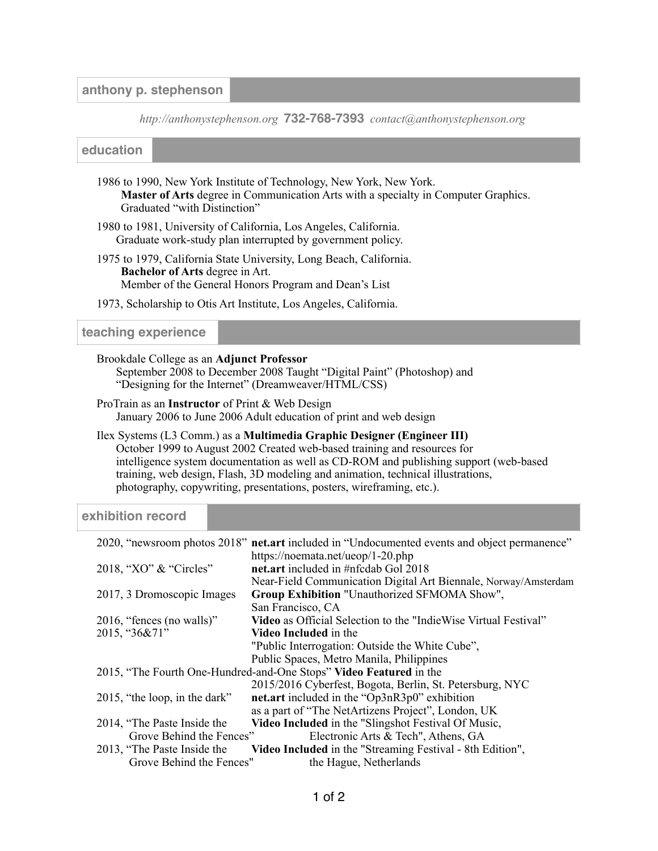### **anthony p. stephenson**

*[http://anthonystephenson.org](http://anthonystephenson.org/)* **732-768-7393** *[contact@anthonystephenson.org](mailto:contact@anthonystephenson.org)*

#### **education**

- 1986 to 1990, New York Institute of Technology, New York, New York.  **Master of Arts** degree in Communication Arts with a specialty in Computer Graphics. Graduated "with Distinction"
- 1980 to 1981, University of California, Los Angeles, California. Graduate work-study plan interrupted by government policy.
- 1975 to 1979, California State University, Long Beach, California.  **Bachelor of Arts** degree in Art. Member of the General Honors Program and Dean's List
- 1973, Scholarship to Otis Art Institute, Los Angeles, California.

#### **teaching experience**

Brookdale College as an **Adjunct Professor**

September 2008 to December 2008 Taught "Digital Paint" (Photoshop) and "Designing for the Internet" (Dreamweaver/HTML/CSS)

ProTrain as an **Instructor** of Print & Web Design January 2006 to June 2006 Adult education of print and web design

Ilex Systems (L3 Comm.) as a **Multimedia Graphic Designer (Engineer III)** October 1999 to August 2002 Created web-based training and resources for intelligence system documentation as well as CD-ROM and publishing support (web-based training, web design, Flash, 3D modeling and animation, technical illustrations, photography, copywriting, presentations, posters, wireframing, etc.).

## **exhibition record**

|                                                                    | 2020, "newsroom photos 2018" net.art included in "Undocumented events and object permanence" |
|--------------------------------------------------------------------|----------------------------------------------------------------------------------------------|
|                                                                    | https://noemata.net/ueop/1-20.php                                                            |
| 2018, "XO" & "Circles"                                             | net.art included in #nfcdab Gol 2018                                                         |
|                                                                    | Near-Field Communication Digital Art Biennale, Norway/Amsterdam                              |
| 2017, 3 Dromoscopic Images                                         | Group Exhibition "Unauthorized SFMOMA Show",                                                 |
|                                                                    | San Francisco, CA                                                                            |
| 2016, "fences (no walls)"                                          | <b>Video</b> as Official Selection to the "Indie Wise Virtual Festival"                      |
| 2015, "36&71"                                                      | <b>Video Included</b> in the                                                                 |
|                                                                    | "Public Interrogation: Outside the White Cube",                                              |
|                                                                    | Public Spaces, Metro Manila, Philippines                                                     |
| 2015, "The Fourth One-Hundred-and-One Stops" Video Featured in the |                                                                                              |
|                                                                    | 2015/2016 Cyberfest, Bogota, Berlin, St. Petersburg, NYC                                     |
| 2015, "the loop, in the dark"                                      | net.art included in the "Op3nR3p0" exhibition                                                |
|                                                                    | as a part of "The NetArtizens Project", London, UK                                           |
| 2014, "The Paste Inside the                                        | Video Included in the "Slingshot Festival Of Music,                                          |
| Grove Behind the Fences"                                           | Electronic Arts & Tech", Athens, GA                                                          |
| 2013, "The Paste Inside the                                        | Video Included in the "Streaming Festival - 8th Edition",                                    |
| Grove Behind the Fences"                                           | the Hague, Netherlands                                                                       |